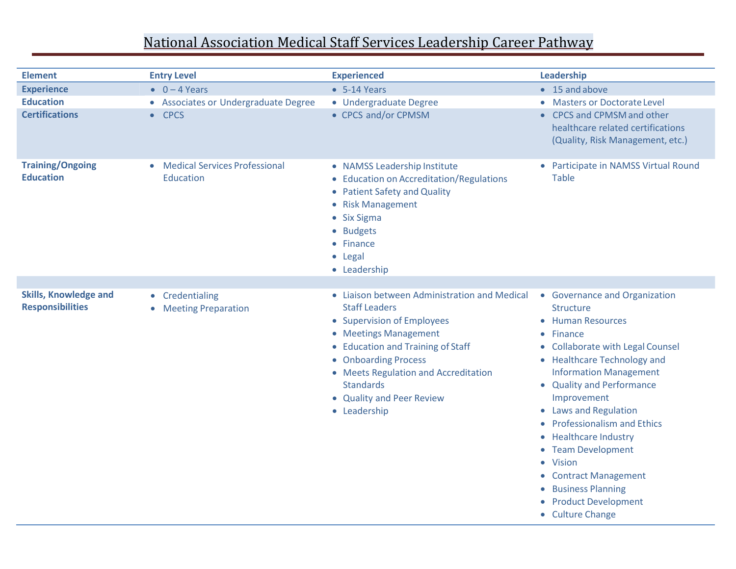## National Association Medical Staff Services Leadership Career Pathway

| <b>Element</b>                                          | <b>Entry Level</b>                                             | <b>Experienced</b>                                                                                                                                                                                                                                                                                | Leadership                                                                                                                                                                                                                                                                                                                                                                                                                                            |
|---------------------------------------------------------|----------------------------------------------------------------|---------------------------------------------------------------------------------------------------------------------------------------------------------------------------------------------------------------------------------------------------------------------------------------------------|-------------------------------------------------------------------------------------------------------------------------------------------------------------------------------------------------------------------------------------------------------------------------------------------------------------------------------------------------------------------------------------------------------------------------------------------------------|
| <b>Experience</b>                                       | $\bullet$ 0 - 4 Years                                          | $-5-14$ Years                                                                                                                                                                                                                                                                                     | • 15 and above                                                                                                                                                                                                                                                                                                                                                                                                                                        |
| <b>Education</b><br><b>Certifications</b>               | • Associates or Undergraduate Degree<br>$\bullet$ CPCS         | • Undergraduate Degree<br>• CPCS and/or CPMSM                                                                                                                                                                                                                                                     | • Masters or Doctorate Level<br>• CPCS and CPMSM and other<br>healthcare related certifications<br>(Quality, Risk Management, etc.)                                                                                                                                                                                                                                                                                                                   |
| <b>Training/Ongoing</b><br><b>Education</b>             | <b>Medical Services Professional</b><br>$\bullet$<br>Education | • NAMSS Leadership Institute<br>• Education on Accreditation/Regulations<br>• Patient Safety and Quality<br>• Risk Management<br>• Six Sigma<br>• Budgets<br>• Finance<br>• Legal<br>• Leadership                                                                                                 | • Participate in NAMSS Virtual Round<br><b>Table</b>                                                                                                                                                                                                                                                                                                                                                                                                  |
|                                                         |                                                                |                                                                                                                                                                                                                                                                                                   |                                                                                                                                                                                                                                                                                                                                                                                                                                                       |
| <b>Skills, Knowledge and</b><br><b>Responsibilities</b> | • Credentialing<br>• Meeting Preparation                       | • Liaison between Administration and Medical<br><b>Staff Leaders</b><br>• Supervision of Employees<br>• Meetings Management<br>• Education and Training of Staff<br>• Onboarding Process<br>• Meets Regulation and Accreditation<br><b>Standards</b><br>• Quality and Peer Review<br>• Leadership | • Governance and Organization<br><b>Structure</b><br>• Human Resources<br>• Finance<br>• Collaborate with Legal Counsel<br>• Healthcare Technology and<br><b>Information Management</b><br>• Quality and Performance<br>Improvement<br>• Laws and Regulation<br>• Professionalism and Ethics<br>• Healthcare Industry<br>• Team Development<br>• Vision<br>• Contract Management<br>• Business Planning<br>القائم والمتماز والمراجح والقطار والمستراة |

- Product Development
- Culture Change